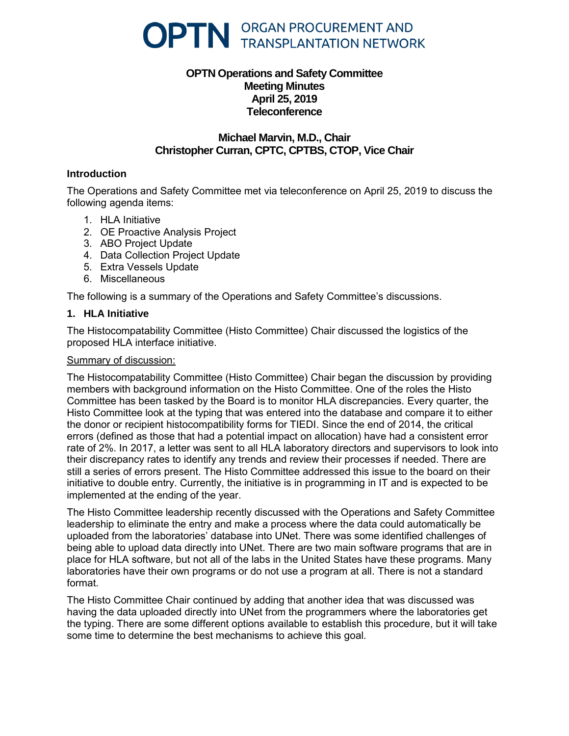

# **OPTN Operations and Safety Committee Meeting Minutes April 25, 2019 Teleconference**

# **Michael Marvin, M.D., Chair Christopher Curran, CPTC, CPTBS, CTOP, Vice Chair**

## **Introduction**

The Operations and Safety Committee met via teleconference on April 25, 2019 to discuss the following agenda items:

- 1. HLA Initiative
- 2. OE Proactive Analysis Project
- 3. ABO Project Update
- 4. Data Collection Project Update
- 5. Extra Vessels Update
- 6. Miscellaneous

The following is a summary of the Operations and Safety Committee's discussions.

### **1. HLA Initiative**

The Histocompatability Committee (Histo Committee) Chair discussed the logistics of the proposed HLA interface initiative.

### Summary of discussion:

The Histocompatability Committee (Histo Committee) Chair began the discussion by providing members with background information on the Histo Committee. One of the roles the Histo Committee has been tasked by the Board is to monitor HLA discrepancies. Every quarter, the Histo Committee look at the typing that was entered into the database and compare it to either the donor or recipient histocompatibility forms for TIEDI. Since the end of 2014, the critical errors (defined as those that had a potential impact on allocation) have had a consistent error rate of 2%. In 2017, a letter was sent to all HLA laboratory directors and supervisors to look into their discrepancy rates to identify any trends and review their processes if needed. There are still a series of errors present. The Histo Committee addressed this issue to the board on their initiative to double entry. Currently, the initiative is in programming in IT and is expected to be implemented at the ending of the year.

The Histo Committee leadership recently discussed with the Operations and Safety Committee leadership to eliminate the entry and make a process where the data could automatically be uploaded from the laboratories' database into UNet. There was some identified challenges of being able to upload data directly into UNet. There are two main software programs that are in place for HLA software, but not all of the labs in the United States have these programs. Many laboratories have their own programs or do not use a program at all. There is not a standard format.

The Histo Committee Chair continued by adding that another idea that was discussed was having the data uploaded directly into UNet from the programmers where the laboratories get the typing. There are some different options available to establish this procedure, but it will take some time to determine the best mechanisms to achieve this goal.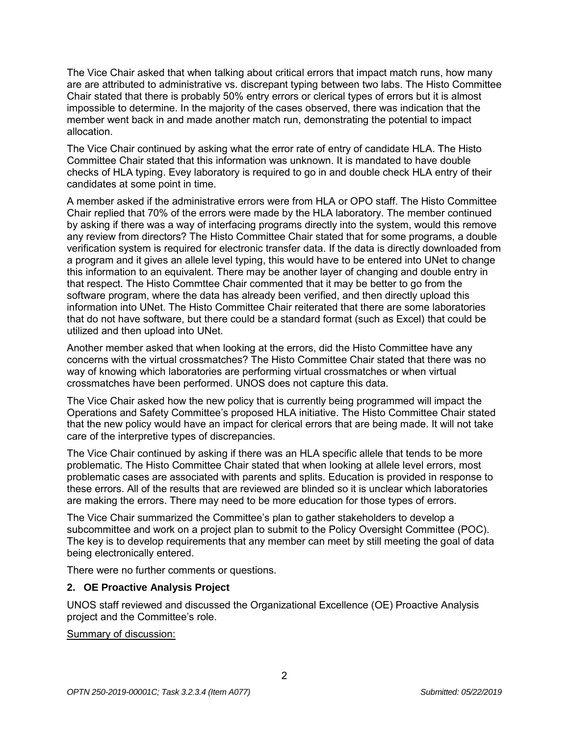The Vice Chair asked that when talking about critical errors that impact match runs, how many are are attributed to administrative vs. discrepant typing between two labs. The Histo Committee Chair stated that there is probably 50% entry errors or clerical types of errors but it is almost impossible to determine. In the majority of the cases observed, there was indication that the member went back in and made another match run, demonstrating the potential to impact allocation.

The Vice Chair continued by asking what the error rate of entry of candidate HLA. The Histo Committee Chair stated that this information was unknown. It is mandated to have double checks of HLA typing. Evey laboratory is required to go in and double check HLA entry of their candidates at some point in time.

A member asked if the administrative errors were from HLA or OPO staff. The Histo Committee Chair replied that 70% of the errors were made by the HLA laboratory. The member continued by asking if there was a way of interfacing programs directly into the system, would this remove any review from directors? The Histo Committee Chair stated that for some programs, a double verification system is required for electronic transfer data. If the data is directly downloaded from a program and it gives an allele level typing, this would have to be entered into UNet to change this information to an equivalent. There may be another layer of changing and double entry in that respect. The Histo Commttee Chair commented that it may be better to go from the software program, where the data has already been verified, and then directly upload this information into UNet. The Histo Committee Chair reiterated that there are some laboratories that do not have software, but there could be a standard format (such as Excel) that could be utilized and then upload into UNet.

Another member asked that when looking at the errors, did the Histo Committee have any concerns with the virtual crossmatches? The Histo Committee Chair stated that there was no way of knowing which laboratories are performing virtual crossmatches or when virtual crossmatches have been performed. UNOS does not capture this data.

The Vice Chair asked how the new policy that is currently being programmed will impact the Operations and Safety Committee's proposed HLA initiative. The Histo Committee Chair stated that the new policy would have an impact for clerical errors that are being made. It will not take care of the interpretive types of discrepancies.

The Vice Chair continued by asking if there was an HLA specific allele that tends to be more problematic. The Histo Committee Chair stated that when looking at allele level errors, most problematic cases are associated with parents and splits. Education is provided in response to these errors. All of the results that are reviewed are blinded so it is unclear which laboratories are making the errors. There may need to be more education for those types of errors.

The Vice Chair summarized the Committee's plan to gather stakeholders to develop a subcommittee and work on a project plan to submit to the Policy Oversight Committee (POC). The key is to develop requirements that any member can meet by still meeting the goal of data being electronically entered.

There were no further comments or questions.

# **2. OE Proactive Analysis Project**

UNOS staff reviewed and discussed the Organizational Excellence (OE) Proactive Analysis project and the Committee's role.

Summary of discussion: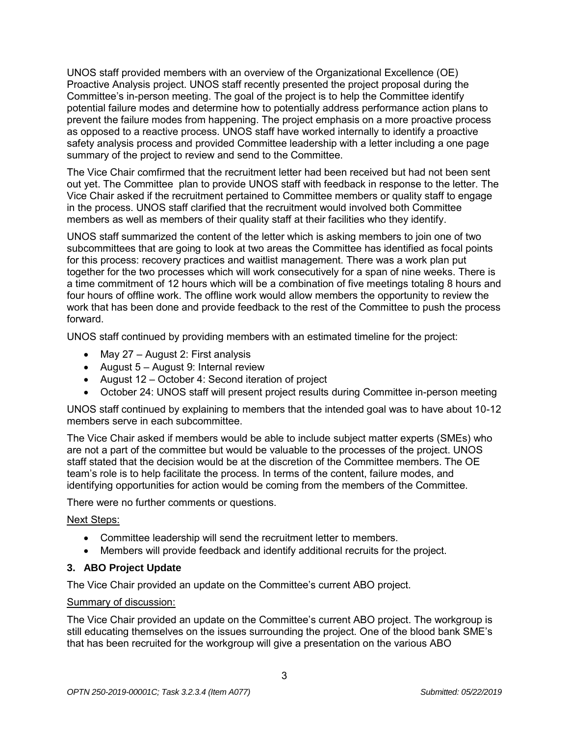UNOS staff provided members with an overview of the Organizational Excellence (OE) Proactive Analysis project. UNOS staff recently presented the project proposal during the Committee's in-person meeting. The goal of the project is to help the Committee identify potential failure modes and determine how to potentially address performance action plans to prevent the failure modes from happening. The project emphasis on a more proactive process as opposed to a reactive process. UNOS staff have worked internally to identify a proactive safety analysis process and provided Committee leadership with a letter including a one page summary of the project to review and send to the Committee.

The Vice Chair comfirmed that the recruitment letter had been received but had not been sent out yet. The Committee plan to provide UNOS staff with feedback in response to the letter. The Vice Chair asked if the recruitment pertained to Committee members or quality staff to engage in the process. UNOS staff clarified that the recruitment would involved both Committee members as well as members of their quality staff at their facilities who they identify.

UNOS staff summarized the content of the letter which is asking members to join one of two subcommittees that are going to look at two areas the Committee has identified as focal points for this process: recovery practices and waitlist management. There was a work plan put together for the two processes which will work consecutively for a span of nine weeks. There is a time commitment of 12 hours which will be a combination of five meetings totaling 8 hours and four hours of offline work. The offline work would allow members the opportunity to review the work that has been done and provide feedback to the rest of the Committee to push the process forward.

UNOS staff continued by providing members with an estimated timeline for the project:

- May 27 August 2: First analysis
- August  $5 -$  August 9: Internal review
- August 12 October 4: Second iteration of project
- October 24: UNOS staff will present project results during Committee in-person meeting

UNOS staff continued by explaining to members that the intended goal was to have about 10-12 members serve in each subcommittee.

The Vice Chair asked if members would be able to include subject matter experts (SMEs) who are not a part of the committee but would be valuable to the processes of the project. UNOS staff stated that the decision would be at the discretion of the Committee members. The OE team's role is to help facilitate the process. In terms of the content, failure modes, and identifying opportunities for action would be coming from the members of the Committee.

There were no further comments or questions.

# Next Steps:

- Committee leadership will send the recruitment letter to members.
- Members will provide feedback and identify additional recruits for the project.

# **3. ABO Project Update**

The Vice Chair provided an update on the Committee's current ABO project.

# Summary of discussion:

The Vice Chair provided an update on the Committee's current ABO project. The workgroup is still educating themselves on the issues surrounding the project. One of the blood bank SME's that has been recruited for the workgroup will give a presentation on the various ABO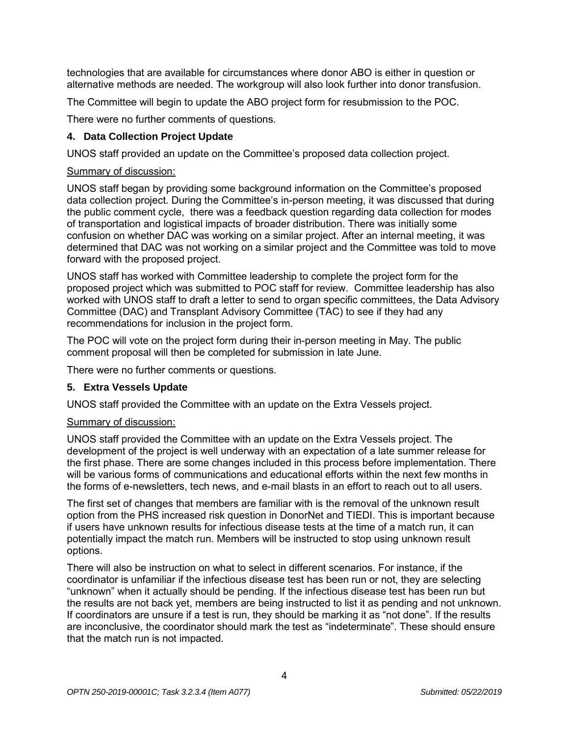technologies that are available for circumstances where donor ABO is either in question or alternative methods are needed. The workgroup will also look further into donor transfusion.

The Committee will begin to update the ABO project form for resubmission to the POC.

There were no further comments of questions.

## **4. Data Collection Project Update**

UNOS staff provided an update on the Committee's proposed data collection project.

### Summary of discussion:

UNOS staff began by providing some background information on the Committee's proposed data collection project. During the Committee's in-person meeting, it was discussed that during the public comment cycle, there was a feedback question regarding data collection for modes of transportation and logistical impacts of broader distribution. There was initially some confusion on whether DAC was working on a similar project. After an internal meeting, it was determined that DAC was not working on a similar project and the Committee was told to move forward with the proposed project.

UNOS staff has worked with Committee leadership to complete the project form for the proposed project which was submitted to POC staff for review. Committee leadership has also worked with UNOS staff to draft a letter to send to organ specific committees, the Data Advisory Committee (DAC) and Transplant Advisory Committee (TAC) to see if they had any recommendations for inclusion in the project form.

The POC will vote on the project form during their in-person meeting in May. The public comment proposal will then be completed for submission in late June.

There were no further comments or questions.

# **5. Extra Vessels Update**

UNOS staff provided the Committee with an update on the Extra Vessels project.

### Summary of discussion:

UNOS staff provided the Committee with an update on the Extra Vessels project. The development of the project is well underway with an expectation of a late summer release for the first phase. There are some changes included in this process before implementation. There will be various forms of communications and educational efforts within the next few months in the forms of e-newsletters, tech news, and e-mail blasts in an effort to reach out to all users.

The first set of changes that members are familiar with is the removal of the unknown result option from the PHS increased risk question in DonorNet and TIEDI. This is important because if users have unknown results for infectious disease tests at the time of a match run, it can potentially impact the match run. Members will be instructed to stop using unknown result options.

There will also be instruction on what to select in different scenarios. For instance, if the coordinator is unfamiliar if the infectious disease test has been run or not, they are selecting "unknown" when it actually should be pending. If the infectious disease test has been run but the results are not back yet, members are being instructed to list it as pending and not unknown. If coordinators are unsure if a test is run, they should be marking it as "not done". If the results are inconclusive, the coordinator should mark the test as "indeterminate". These should ensure that the match run is not impacted.